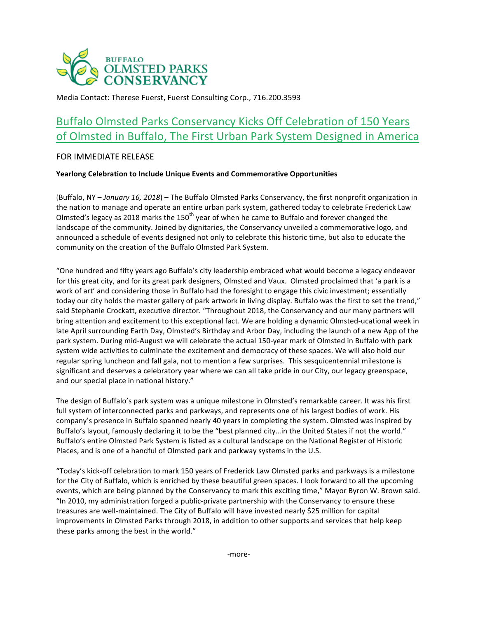

Media Contact: Therese Fuerst, Fuerst Consulting Corp., 716.200.3593

# Buffalo Olmsted Parks Conservancy Kicks Off Celebration of 150 Years of Olmsted in Buffalo, The First Urban Park System Designed in America

## FOR IMMEDIATE RELEASE

## **Yearlong Celebration to Include Unique Events and Commemorative Opportunities**

(Buffalo, NY - January 16, 2018) - The Buffalo Olmsted Parks Conservancy, the first nonprofit organization in the nation to manage and operate an entire urban park system, gathered today to celebrate Frederick Law Olmsted's legacy as 2018 marks the 150<sup>th</sup> year of when he came to Buffalo and forever changed the landscape of the community. Joined by dignitaries, the Conservancy unveiled a commemorative logo, and announced a schedule of events designed not only to celebrate this historic time, but also to educate the community on the creation of the Buffalo Olmsted Park System.

"One hundred and fifty years ago Buffalo's city leadership embraced what would become a legacy endeavor for this great city, and for its great park designers, Olmsted and Vaux. Olmsted proclaimed that 'a park is a work of art' and considering those in Buffalo had the foresight to engage this civic investment; essentially today our city holds the master gallery of park artwork in living display. Buffalo was the first to set the trend," said Stephanie Crockatt, executive director. "Throughout 2018, the Conservancy and our many partners will bring attention and excitement to this exceptional fact. We are holding a dynamic Olmsted-ucational week in late April surrounding Earth Day, Olmsted's Birthday and Arbor Day, including the launch of a new App of the park system. During mid-August we will celebrate the actual 150-year mark of Olmsted in Buffalo with park system wide activities to culminate the excitement and democracy of these spaces. We will also hold our regular spring luncheon and fall gala, not to mention a few surprises. This sesquicentennial milestone is significant and deserves a celebratory year where we can all take pride in our City, our legacy greenspace, and our special place in national history."

The design of Buffalo's park system was a unique milestone in Olmsted's remarkable career. It was his first full system of interconnected parks and parkways, and represents one of his largest bodies of work. His company's presence in Buffalo spanned nearly 40 years in completing the system. Olmsted was inspired by Buffalo's layout, famously declaring it to be the "best planned city...in the United States if not the world." Buffalo's entire Olmsted Park System is listed as a cultural landscape on the National Register of Historic Places, and is one of a handful of Olmsted park and parkway systems in the U.S.

"Today's kick-off celebration to mark 150 years of Frederick Law Olmsted parks and parkways is a milestone for the City of Buffalo, which is enriched by these beautiful green spaces. I look forward to all the upcoming events, which are being planned by the Conservancy to mark this exciting time," Mayor Byron W. Brown said. "In 2010, my administration forged a public-private partnership with the Conservancy to ensure these treasures are well-maintained. The City of Buffalo will have invested nearly \$25 million for capital improvements in Olmsted Parks through 2018, in addition to other supports and services that help keep these parks among the best in the world."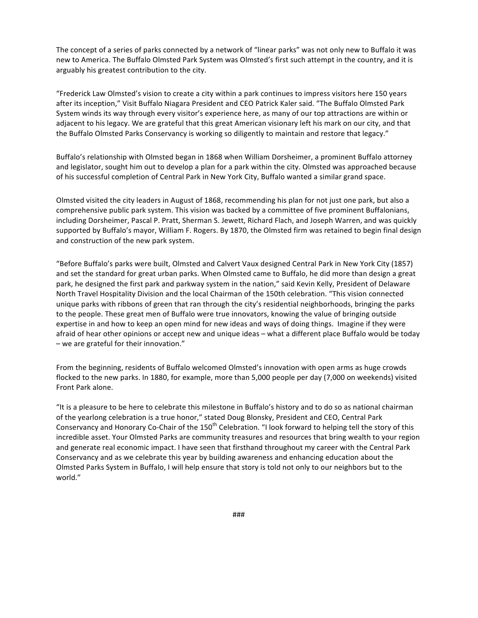The concept of a series of parks connected by a network of "linear parks" was not only new to Buffalo it was new to America. The Buffalo Olmsted Park System was Olmsted's first such attempt in the country, and it is arguably his greatest contribution to the city.

"Frederick Law Olmsted's vision to create a city within a park continues to impress visitors here 150 years after its inception," Visit Buffalo Niagara President and CEO Patrick Kaler said. "The Buffalo Olmsted Park System winds its way through every visitor's experience here, as many of our top attractions are within or adjacent to his legacy. We are grateful that this great American visionary left his mark on our city, and that the Buffalo Olmsted Parks Conservancy is working so diligently to maintain and restore that legacy."

Buffalo's relationship with Olmsted began in 1868 when William Dorsheimer, a prominent Buffalo attorney and legislator, sought him out to develop a plan for a park within the city. Olmsted was approached because of his successful completion of Central Park in New York City, Buffalo wanted a similar grand space.

Olmsted visited the city leaders in August of 1868, recommending his plan for not just one park, but also a comprehensive public park system. This vision was backed by a committee of five prominent Buffalonians, including Dorsheimer, Pascal P. Pratt, Sherman S. Jewett, Richard Flach, and Joseph Warren, and was quickly supported by Buffalo's mayor, William F. Rogers. By 1870, the Olmsted firm was retained to begin final design and construction of the new park system.

"Before Buffalo's parks were built, Olmsted and Calvert Vaux designed Central Park in New York City (1857) and set the standard for great urban parks. When Olmsted came to Buffalo, he did more than design a great park, he designed the first park and parkway system in the nation," said Kevin Kelly, President of Delaware North Travel Hospitality Division and the local Chairman of the 150th celebration. "This vision connected unique parks with ribbons of green that ran through the city's residential neighborhoods, bringing the parks to the people. These great men of Buffalo were true innovators, knowing the value of bringing outside expertise in and how to keep an open mind for new ideas and ways of doing things. Imagine if they were afraid of hear other opinions or accept new and unique ideas – what a different place Buffalo would be today  $-$  we are grateful for their innovation."

From the beginning, residents of Buffalo welcomed Olmsted's innovation with open arms as huge crowds flocked to the new parks. In 1880, for example, more than 5,000 people per day (7,000 on weekends) visited Front Park alone.

"It is a pleasure to be here to celebrate this milestone in Buffalo's history and to do so as national chairman of the yearlong celebration is a true honor," stated Doug Blonsky, President and CEO, Central Park Conservancy and Honorary Co-Chair of the 150<sup>th</sup> Celebration. "I look forward to helping tell the story of this incredible asset. Your Olmsted Parks are community treasures and resources that bring wealth to your region and generate real economic impact. I have seen that firsthand throughout my career with the Central Park Conservancy and as we celebrate this year by building awareness and enhancing education about the Olmsted Parks System in Buffalo, I will help ensure that story is told not only to our neighbors but to the world."